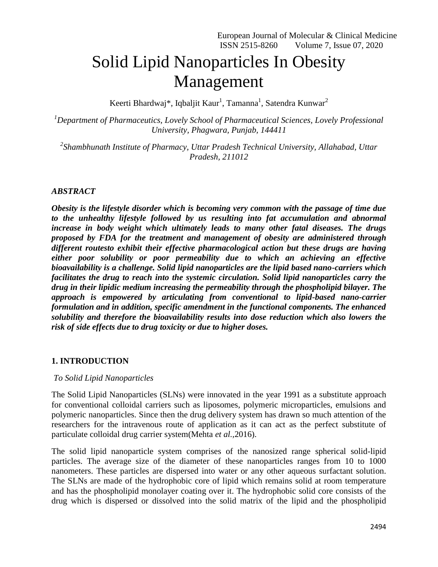# Solid Lipid Nanoparticles In Obesity Management

Keerti Bhardwaj\*, Iqbaljit Kaur<sup>1</sup>, Tamanna<sup>1</sup>, Satendra Kunwar<sup>2</sup>

*<sup>1</sup>Department of Pharmaceutics, Lovely School of Pharmaceutical Sciences, Lovely Professional University, Phagwara, Punjab, 144411*

*2 Shambhunath Institute of Pharmacy, Uttar Pradesh Technical University, Allahabad, Uttar Pradesh, 211012*

### *ABSTRACT*

*Obesity is the lifestyle disorder which is becoming very common with the passage of time due to the unhealthy lifestyle followed by us resulting into fat accumulation and abnormal increase in body weight which ultimately leads to many other fatal diseases. The drugs proposed by FDA for the treatment and management of obesity are administered through different routesto exhibit their effective pharmacological action but these drugs are having either poor solubility or poor permeability due to which an achieving an effective bioavailability is a challenge. Solid lipid nanoparticles are the lipid based nano-carriers which facilitates the drug to reach into the systemic circulation. Solid lipid nanoparticles carry the drug in their lipidic medium increasing the permeability through the phospholipid bilayer. The approach is empowered by articulating from conventional to lipid-based nano-carrier formulation and in addition, specific amendment in the functional components. The enhanced solubility and therefore the bioavailability results into dose reduction which also lowers the risk of side effects due to drug toxicity or due to higher doses.* 

### **1. INTRODUCTION**

### *To Solid Lipid Nanoparticles*

The Solid Lipid Nanoparticles (SLNs) were innovated in the year 1991 as a substitute approach for conventional colloidal carriers such as liposomes, polymeric microparticles, emulsions and polymeric nanoparticles. Since then the drug delivery system has drawn so much attention of the researchers for the intravenous route of application as it can act as the perfect substitute of particulate colloidal drug carrier system(Mehta *et al.,*2016).

The solid lipid nanoparticle system comprises of the nanosized range spherical solid-lipid particles. The average size of the diameter of these nanoparticles ranges from 10 to 1000 nanometers. These particles are dispersed into water or any other aqueous surfactant solution. The SLNs are made of the hydrophobic core of lipid which remains solid at room temperature and has the phospholipid monolayer coating over it. The hydrophobic solid core consists of the drug which is dispersed or dissolved into the solid matrix of the lipid and the phospholipid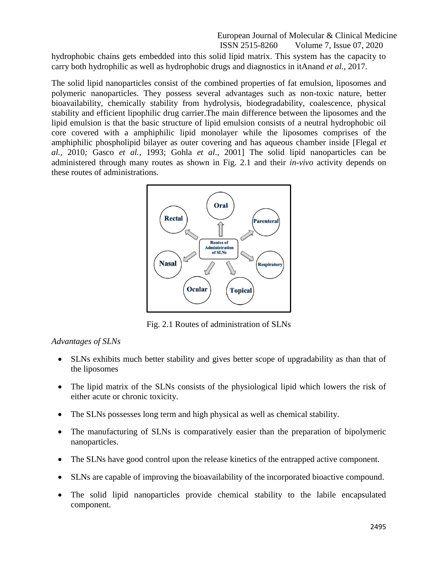hydrophobic chains gets embedded into this solid lipid matrix. This system has the capacity to carry both hydrophilic as well as hydrophobic drugs and diagnostics in itAnand *et al.,* 2017.

The solid lipid nanoparticles consist of the combined properties of fat emulsion, liposomes and polymeric nanoparticles. They possess several advantages such as non-toxic nature, better bioavailability, chemically stability from hydrolysis, biodegradability, coalescence, physical stability and efficient lipophilic drug carrier.The main difference between the liposomes and the lipid emulsion is that the basic structure of lipid emulsion consists of a neutral hydrophobic oil core covered with a amphiphilic lipid monolayer while the liposomes comprises of the amphiphilic phospholipid bilayer as outer covering and has aqueous chamber inside [Flegal *et al.,* 2010*;* Gasco *et al.,* 1993; Gohla *et al*., 2001] The solid lipid nanoparticles can be administered through many routes as shown in Fig. 2.1 and their *in-vivo* activity depends on these routes of administrations.



Fig. 2.1 Routes of administration of SLNs

### *Advantages of SLNs*

- SLNs exhibits much better stability and gives better scope of upgradability as than that of the liposomes
- The lipid matrix of the SLNs consists of the physiological lipid which lowers the risk of either acute or chronic toxicity.
- The SLNs possesses long term and high physical as well as chemical stability.
- The manufacturing of SLNs is comparatively easier than the preparation of bipolymeric nanoparticles.
- The SLNs have good control upon the release kinetics of the entrapped active component.
- SLNs are capable of improving the bioavailability of the incorporated bioactive compound.
- The solid lipid nanoparticles provide chemical stability to the labile encapsulated component.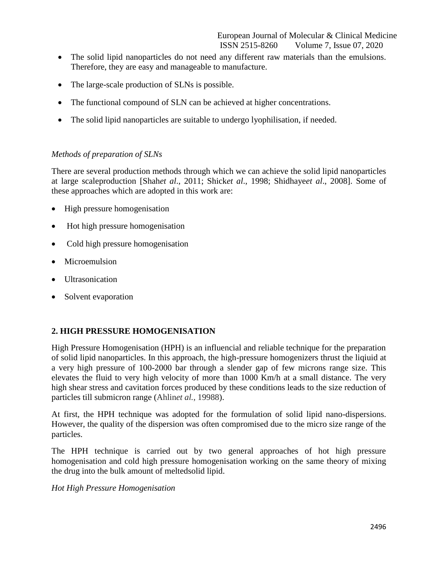- The solid lipid nanoparticles do not need any different raw materials than the emulsions. Therefore, they are easy and manageable to manufacture.
- The large-scale production of SLNs is possible.
- The functional compound of SLN can be achieved at higher concentrations.
- The solid lipid nanoparticles are suitable to undergo lyophilisation, if needed.

### *Methods of preparation of SLNs*

There are several production methods through which we can achieve the solid lipid nanoparticles at large scaleproduction [Shah*et al*., 2011; Shick*et al*., 1998; Shidhaye*et al*., 2008]. Some of these approaches which are adopted in this work are:

- High pressure homogenisation
- Hot high pressure homogenisation
- Cold high pressure homogenisation
- Microemulsion
- Ultrasonication
- Solvent evaporation

### **2. HIGH PRESSURE HOMOGENISATION**

High Pressure Homogenisation (HPH) is an influencial and reliable technique for the preparation of solid lipid nanoparticles. In this approach, the high-pressure homogenizers thrust the liqiuid at a very high pressure of 100-2000 bar through a slender gap of few microns range size. This elevates the fluid to very high velocity of more than 1000 Km/h at a small distance. The very high shear stress and cavitation forces produced by these conditions leads to the size reduction of particles till submicron range (Ahlin*et al.*, 19988).

At first, the HPH technique was adopted for the formulation of solid lipid nano-dispersions. However, the quality of the dispersion was often compromised due to the micro size range of the particles.

The HPH technique is carried out by two general approaches of hot high pressure homogenisation and cold high pressure homogenisation working on the same theory of mixing the drug into the bulk amount of meltedsolid lipid.

### *Hot High Pressure Homogenisation*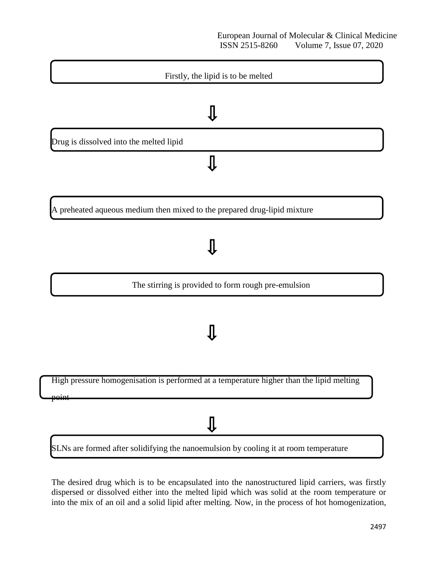

A preheated aqueous medium then mixed to the prepared drug-lipid mixture

The stirring is provided to form rough pre-emulsion

High pressure homogenisation is performed at a temperature higher than the lipid melting

point

## ∬

SLNs are formed after solidifying the nanoemulsion by cooling it at room temperature

The desired drug which is to be encapsulated into the nanostructured lipid carriers, was firstly dispersed or dissolved either into the melted lipid which was solid at the room temperature or into the mix of an oil and a solid lipid after melting. Now, in the process of hot homogenization,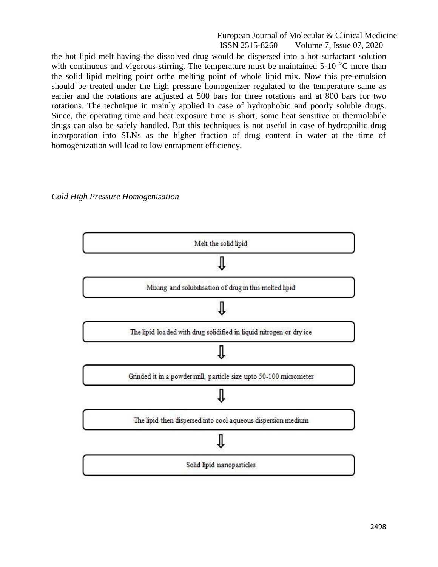the hot lipid melt having the dissolved drug would be dispersed into a hot surfactant solution with continuous and vigorous stirring. The temperature must be maintained  $5{\text -}10^{\degree}\text{C}$  more than the solid lipid melting point orthe melting point of whole lipid mix. Now this pre-emulsion should be treated under the high pressure homogenizer regulated to the temperature same as earlier and the rotations are adjusted at 500 bars for three rotations and at 800 bars for two rotations. The technique in mainly applied in case of hydrophobic and poorly soluble drugs. Since, the operating time and heat exposure time is short, some heat sensitive or thermolabile drugs can also be safely handled. But this techniques is not useful in case of hydrophilic drug incorporation into SLNs as the higher fraction of drug content in water at the time of homogenization will lead to low entrapment efficiency.

### *Cold High Pressure Homogenisation*

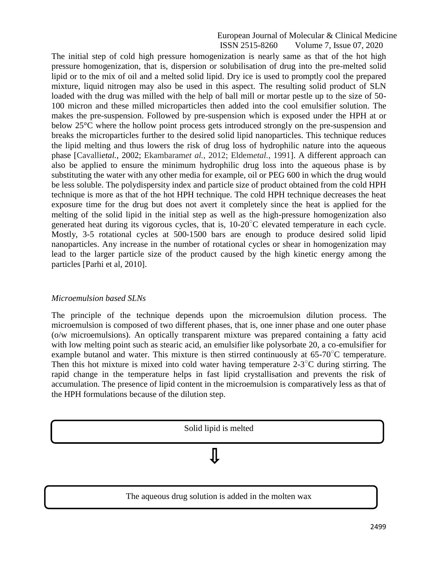The initial step of cold high pressure homogenization is nearly same as that of the hot high pressure homogenization, that is, dispersion or solubilisation of drug into the pre-melted solid lipid or to the mix of oil and a melted solid lipid. Dry ice is used to promptly cool the prepared mixture, liquid nitrogen may also be used in this aspect. The resulting solid product of SLN loaded with the drug was milled with the help of ball mill or mortar pestle up to the size of 50- 100 micron and these milled microparticles then added into the cool emulsifier solution. The makes the pre-suspension. Followed by pre-suspension which is exposed under the HPH at or below 25°C where the hollow point process gets introduced strongly on the pre-suspension and breaks the microparticles further to the desired solid lipid nanoparticles. This technique reduces the lipid melting and thus lowers the risk of drug loss of hydrophilic nature into the aqueous phase [Cavalli*etal.*, 2002; Ekambaram*et al.*, 2012; Eldem*etal.*, 1991]. A different approach can also be applied to ensure the minimum hydrophilic drug loss into the aqueous phase is by substituting the water with any other media for example, oil or PEG 600 in which the drug would be less soluble. The polydispersity index and particle size of product obtained from the cold HPH technique is more as that of the hot HPH technique. The cold HPH technique decreases the heat exposure time for the drug but does not avert it completely since the heat is applied for the melting of the solid lipid in the initial step as well as the high-pressure homogenization also generated heat during its vigorous cycles, that is,  $10{\text -}20^{\circ}$ C elevated temperature in each cycle. Mostly, 3-5 rotational cycles at 500-1500 bars are enough to produce desired solid lipid nanoparticles. Any increase in the number of rotational cycles or shear in homogenization may lead to the larger particle size of the product caused by the high kinetic energy among the particles [Parhi et al, 2010].

#### *Microemulsion based SLNs*

The principle of the technique depends upon the microemulsion dilution process. The microemulsion is composed of two different phases, that is, one inner phase and one outer phase (o/w microemulsions). An optically transparent mixture was prepared containing a fatty acid with low melting point such as stearic acid, an emulsifier like polysorbate 20, a co-emulsifier for example butanol and water. This mixture is then stirred continuously at  $65\text{-}70^{\circ}\text{C}$  temperature. Then this hot mixture is mixed into cold water having temperature  $2-3$ °C during stirring. The rapid change in the temperature helps in fast lipid crystallisation and prevents the risk of accumulation. The presence of lipid content in the microemulsion is comparatively less as that of the HPH formulations because of the dilution step.



The aqueous drug solution is added in the molten wax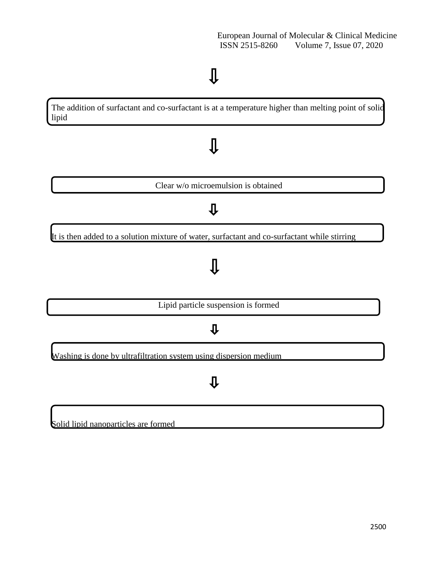# $\pmb{\mathbb{J}}$

The addition of surfactant and co-surfactant is at a temperature higher than melting point of solid lipid

# $\pmb{\mathbb{J}}$

Clear w/o microemulsion is obtained

### ⇩

It is then added to a solution mixture of water, surfactant and co-surfactant while stirring

# ∬

Lipid particle suspension is formed

### $\mathbf{\hat{u}}$

Washing is done by ultrafiltration system using dispersion medium

### $\overline{\psi}$

### Solid lipid nanoparticles are formed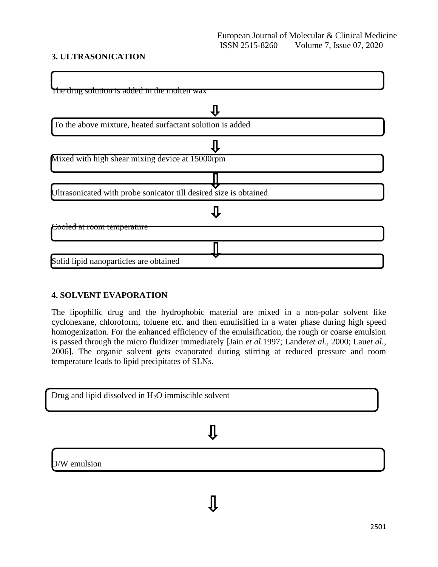### **3. ULTRASONICATION**

| The drug solution is added in the motten wax                      |
|-------------------------------------------------------------------|
|                                                                   |
| To the above mixture, heated surfactant solution is added         |
|                                                                   |
| Mixed with high shear mixing device at 15000rpm                   |
|                                                                   |
| Ultrasonicated with probe sonicator till desired size is obtained |
|                                                                   |
| Cooled al room temperature                                        |
|                                                                   |
| Solid lipid nanoparticles are obtained                            |

### **4. SOLVENT EVAPORATION**

The lipophilic drug and the hydrophobic material are mixed in a non-polar solvent like cyclohexane, chloroform, toluene etc. and then emulisified in a water phase during high speed homogenization. For the enhanced efficiency of the emulsification, the rough or coarse emulsion is passed through the micro fluidizer immediately [Jain *et al*.1997; Lander*et al.,* 2000; Lau*et al.*, 2006]. The organic solvent gets evaporated during stirring at reduced pressure and room temperature leads to lipid precipitates of SLNs.

| Drug and lipid dissolved in $H_2O$ immiscible solvent |
|-------------------------------------------------------|
|                                                       |

## $\pmb{\mathbb{J}}$

O/W emulsion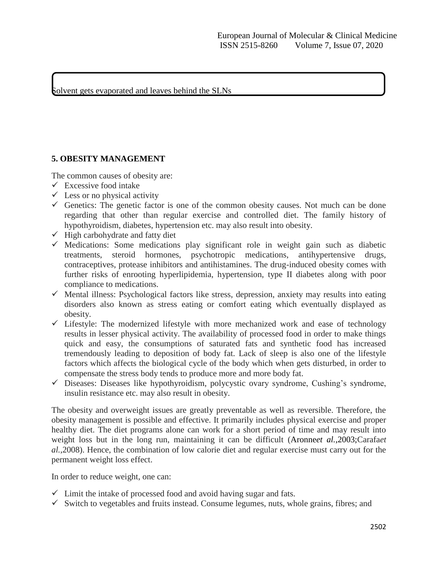Solvent gets evaporated and leaves behind the SLNs

### **5. OBESITY MANAGEMENT**

The common causes of obesity are:

- $\checkmark$  Excessive food intake
- $\checkmark$  Less or no physical activity
- Genetics: The genetic factor is one of the common obesity causes. Not much can be done regarding that other than regular exercise and controlled diet. The family history of hypothyroidism, diabetes, hypertension etc. may also result into obesity.
- $\checkmark$  High carbohydrate and fatty diet
- $\checkmark$  Medications: Some medications play significant role in weight gain such as diabetic treatments, steroid hormones, psychotropic medications, antihypertensive drugs, contraceptives, protease inhibitors and antihistamines. The drug-induced obesity comes with further risks of enrooting hyperlipidemia, hypertension, type II diabetes along with poor compliance to medications.
- $\checkmark$  Mental illness: Psychological factors like stress, depression, anxiety may results into eating disorders also known as stress eating or comfort eating which eventually displayed as obesity.
- $\checkmark$  Lifestyle: The modernized lifestyle with more mechanized work and ease of technology results in lesser physical activity. The availability of processed food in order to make things quick and easy, the consumptions of saturated fats and synthetic food has increased tremendously leading to deposition of body fat. Lack of sleep is also one of the lifestyle factors which affects the biological cycle of the body which when gets disturbed, in order to compensate the stress body tends to produce more and more body fat.
- $\checkmark$  Diseases: Diseases like hypothyroidism, polycystic ovary syndrome, Cushing's syndrome, insulin resistance etc. may also result in obesity.

The obesity and overweight issues are greatly preventable as well as reversible. Therefore, the obesity management is possible and effective. It primarily includes physical exercise and proper healthy diet. The diet programs alone can work for a short period of time and may result into weight loss but in the long run, maintaining it can be difficult (Aronne*et al.*,2003;Carafa*et al.*,2008). Hence, the combination of low calorie diet and regular exercise must carry out for the permanent weight loss effect.

In order to reduce weight, one can:

- $\checkmark$  Limit the intake of processed food and avoid having sugar and fats.
- $\checkmark$  Switch to vegetables and fruits instead. Consume legumes, nuts, whole grains, fibres; and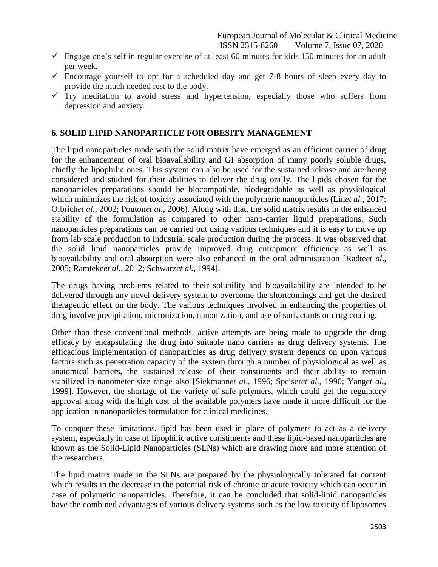- $\checkmark$  Engage one's self in regular exercise of at least 60 minutes for kids 150 minutes for an adult per week.
- $\checkmark$  Encourage yourself to opt for a scheduled day and get 7-8 hours of sleep every day to provide the much needed rest to the body.
- $\checkmark$  Try meditation to avoid stress and hypertension, especially those who suffers from depression and anxiety.

### **6. SOLID LIPID NANOPARTICLE FOR OBESITY MANAGEMENT**

The lipid nanoparticles made with the solid matrix have emerged as an efficient carrier of drug for the enhancement of oral bioavailability and GI absorption of many poorly soluble drugs, chiefly the lipophilic ones. This system can also be used for the sustained release and are being considered and studied for their abilities to deliver the drug orally. The lipids chosen for the nanoparticles preparations should be biocompatible, biodegradable as well as physiological which minimizes the risk of toxicity associated with the polymeric nanoparticles [\(Lin](http://www.sciencedirect.com/science/article/pii/S1021949817300522)*et al.,* 2017; Olbrich*et al.,* 2002; Pouton*et al.*, 2006). Along with that, the solid matrix results in the enhanced stability of the formulation as compared to other nano-carrier liquid preparations. Such nanoparticles preparations can be carried out using various techniques and it is easy to move up from lab scale production to industrial scale production during the process. It was observed that the solid lipid nanoparticles provide improved drug entrapment efficiency as well as bioavailability and oral absorption were also enhanced in the oral administration [Radte*et al*., 2005; Ramteke*et al.*, 2012; Schwarz*et al.*, 1994].

The drugs having problems related to their solubility and bioavailability are intended to be delivered through any novel delivery system to overcome the shortcomings and get the desired therapeutic effect on the body. The various techniques involved in enhancing the properties of drug involve precipitation, micronization, nanonization, and use of surfactants or drug coating.

Other than these conventional methods, active attempts are being made to upgrade the drug efficacy by encapsulating the drug into suitable nano carriers as drug delivery systems. The efficacious implementation of nanoparticles as drug delivery system depends on upon various factors such as penetration capacity of the system through a number of physiological as well as anatomical barriers, the sustained release of their constituents and their ability to remain stabilized in nanometer size range also [Siekmann*et al*., 1996; Speiser*et al.*, 1990; Yang*et al.*, 1999]. However, the shortage of the variety of safe polymers, which could get the regulatory approval along with the high cost of the available polymers have made it more difficult for the application in nanoparticles formulation for clinical medicines.

To conquer these limitations, lipid has been used in place of polymers to act as a delivery system, especially in case of lipophilic active constituents and these lipid-based nanoparticles are known as the Solid-Lipid Nanoparticles (SLNs) which are drawing more and more attention of the researchers.

The lipid matrix made in the SLNs are prepared by the physiologically tolerated fat content which results in the decrease in the potential risk of chronic or acute toxicity which can occur in case of polymeric nanoparticles. Therefore, it can be concluded that solid-lipid nanoparticles have the combined advantages of various delivery systems such as the low toxicity of liposomes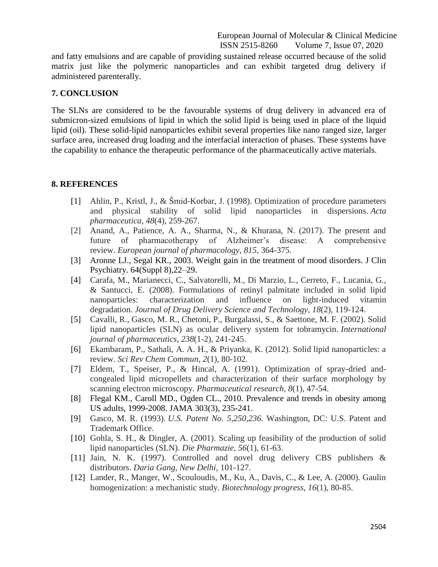and fatty emulsions and are capable of providing sustained release occurred because of the solid matrix just like the polymeric nanoparticles and can exhibit targeted drug delivery if administered parenterally.

### **7. CONCLUSION**

The SLNs are considered to be the favourable systems of drug delivery in advanced era of submicron-sized emulsions of lipid in which the solid lipid is being used in place of the liquid lipid (oil). These solid-lipid nanoparticles exhibit several properties like nano ranged size, larger surface area, increased drug loading and the interfacial interaction of phases. These systems have the capability to enhance the therapeutic performance of the pharmaceutically active materials.

#### **8. REFERENCES**

- [1] Ahlin, P., Kristl, J., & Šmid-Korbar, J. (1998). Optimization of procedure parameters and physical stability of solid lipid nanoparticles in dispersions. *Acta pharmaceutica*, *48*(4), 259-267.
- [2] Anand, A., Patience, A. A., Sharma, N., & Khurana, N. (2017). The present and future of pharmacotherapy of Alzheimer's disease: A comprehensive review. *European journal of pharmacology*, *815*, 364-375.
- [3] Aronne LJ., Segal KR., 2003. Weight gain in the treatment of mood disorders. J Clin Psychiatry. 64(Suppl 8),22–29.
- [4] Carafa, M., Marianecci, C., Salvatorelli, M., Di Marzio, L., Cerreto, F., Lucania, G., & Santucci, E. (2008). Formulations of retinyl palmitate included in solid lipid nanoparticles: characterization and influence on light-induced vitamin degradation. *Journal of Drug Delivery Science and Technology*, *18*(2), 119-124.
- [5] Cavalli, R., Gasco, M. R., Chetoni, P., Burgalassi, S., & Saettone, M. F. (2002). Solid lipid nanoparticles (SLN) as ocular delivery system for tobramycin. *International journal of pharmaceutics*, *238*(1-2), 241-245.
- [6] Ekambaram, P., Sathali, A. A. H., & Priyanka, K. (2012). Solid lipid nanoparticles: a review. *Sci Rev Chem Commun*, *2*(1), 80-102.
- [7] Eldem, T., Speiser, P., & Hincal, A. (1991). Optimization of spray-dried andcongealed lipid micropellets and characterization of their surface morphology by scanning electron microscopy. *Pharmaceutical research*, *8*(1), 47-54.
- [8] Flegal KM., Caroll MD., Ogden CL., 2010. Prevalence and trends in obesity among US adults, 1999-2008. JAMA 303(3), 235-241.
- [9] Gasco, M. R. (1993). *U.S. Patent No. 5,250,236*. Washington, DC: U.S. Patent and Trademark Office.
- [10] Gohla, S. H., & Dingler, A. (2001). Scaling up feasibility of the production of solid lipid nanoparticles (SLN). *Die Pharmazie*, *56*(1), 61-63.
- [11] Jain, N. K. (1997). Controlled and novel drug delivery CBS publishers & distributors. *Daria Gang, New Delhi*, 101-127.
- [12] Lander, R., Manger, W., Scouloudis, M., Ku, A., Davis, C., & Lee, A. (2000). Gaulin homogenization: a mechanistic study. *Biotechnology progress*, *16*(1), 80-85.